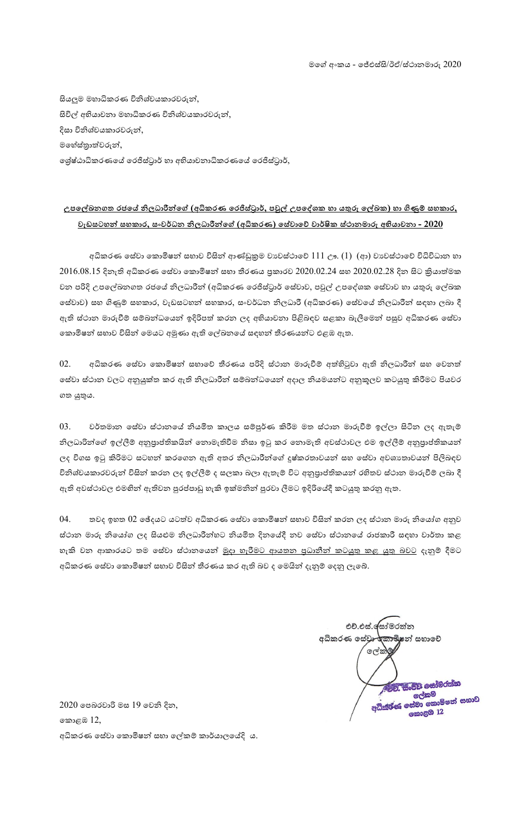සියලුම මහාධිකරණ විනිශ්චයකාරවරුන්, සිවිල් අභියාචනා මහාධිකරණ විනිශ්චයකාරවරුන්, දිසා විනිශ්චයකාරවරුන්, මහේස්තුාත්වරුන්, ගේෂ්ඨාධිකරණයේ රෙජිස්ටුාර් හා අභියාචනාධිකරණයේ රෙජිස්ටුාර්,

## **උපලේඛනගත රජලේ නිලධාරීන්ලේ (අධිකරණ ලරජිස්ට්රාාර්, පවුේ උපලේශක හා යතුරු ලේඛක) හා ගිණුම් සහකාර, වැඩසටහන් සහකාර, සංවර්ධන නිලධාරීන්ලේ (අධිකරණ) ලසේවාලේ වාර්ෂික ස්ථානමාරු අභියාචනා - 2020**

අධිකරණ සේවා කොමිෂන් සභාව විසින් ආණ්ඩුකුම වා\$වස්ථාවේ  $111$  ඌ.  $(1)$   $($ ආ) වා\$වස්ථාවේ විධිවිධාන හා  $2016.08.15$  දිනැති අධිකරණ සේවා කොමිෂන් සභා තීරණය පුකාරව  $2020.02.24$  සහ  $2020.02.28$  දින සිට කිුයාත්මක වන පරිදි උපලේඛනගත රජයේ නිලධාරීන් (අධිකරණ රෙජිස්ටුාර් සේවාව, පවුල් උපදේශක සේවාව හා යතුරු ලේඛක ගසේවාව) සහ ගිණුම් සහකාර, වැඩසටහන් සහකාර, සංවර් හාන නිලාාරී (අධිකරණ) ගසේවගර නිලාාරීන් සඳහා ලබා දී ඇති ස්ථාන මාරුවීම් සම්බන්ධයෙන් ඉදිරිපත් කරන ලද අභියාචනා පිළිබඳව සළකා බැලීමෙන් පසුව අධිකරණ සේවා ගකොමිෂ්ඨන් සභාව විසින් ගමයට අමුණා ඇති ගල්ඛනගර සඳහන් තීරණයන්ට එළඹ ඇත.

 $02.$  අධිකරණ සේවා කොමිෂන් සභාවේ තීරණය පරිදි ස්ථාන මාරුවීම් අත්හිටුවා ඇති නිලධාරීන් සහ වෙනත් ගසේවා ස්ථාන වලට අනුයුක්ත කර ඇති නිලාාරීන් සම්බන්ාගයන් අදාල නියමයන්ට අනුකූලව කටයුතු කිරීමට පියවර ගත යුතුය.

03. වර් හතමාන ගසේවා ස්ථානගර නියමිත කාලය සම්පුර් හණ කිරීම මත ස්ථාන මාරුවීම් ඉල්ලා සිටින ලද ඇතැම් නිලාාරින්ගේ ඉල්ලීම් අනුප්රෂාප්තිතිකන්න් ගනොමැතිවීම නිසා ඉටු කර ගනොමැති අවස්ථාවල එම ඉල්ලීම් අනුප්රෂාප්තිතිකයන් ලද විගස ඉටු කිරිමට සටහන් කරගෙන ඇති අතර නිලධාරීන්ගේ දුෂ්කරතාවයන් සහ සේවා අවශානාවයන් පිලිබඳව විනිශ්චයකාරවරුන් විසින් කරන ලද ඉල්ලීම් ද සලකා බලා ඇතැම් විට අනුප්රෂාප්තිතිකයන් රහිතව ස්ථාන මාරුවීම් ලබා දී ඇති අවස්ථාවල එමහින් ඇතිවන පුරප්පාඩු හැකි ඉක්මනින් පුරවා ලීමට ඉදිරියේදී කටයුතු කරනු ඇත.

 $04.$  තවද ඉහත  $02$  ඡේදයට යටත්ව අධිකරණ සේවා කොමිෂන් සභාව විසින් කරන ලද ස්ථාන මාරු නියෝග අනුව ස්ථාන මාරු නියෝග ලද සියළුම නිලධාරීන්හට නියමිත දිනයේදී නව සේවා ස්ථානයේ රාජකාරී සඳහා වාර්තා කළ හැකි වන ආකාරයට තම සේවා ස්ථානයෙන් <u>මුදා හැරීමට ආයතන පුධානීන් කටයුතු කළ යුතු බවට</u> දැනුම් දීමට අධිකරණ සේවා කොමිෂන් සභාව විසින් තීරණය කර ඇති බව ද මෙයින් දැනුම් දෙනු ලැබේ.



2020 ගපබරවාරි මස 19 ගවනි දින, ගකොළඹ 12, අධිකරණ සේවා කොමිෂන් සභා ලේකම් කාර්යාලයේදි ය.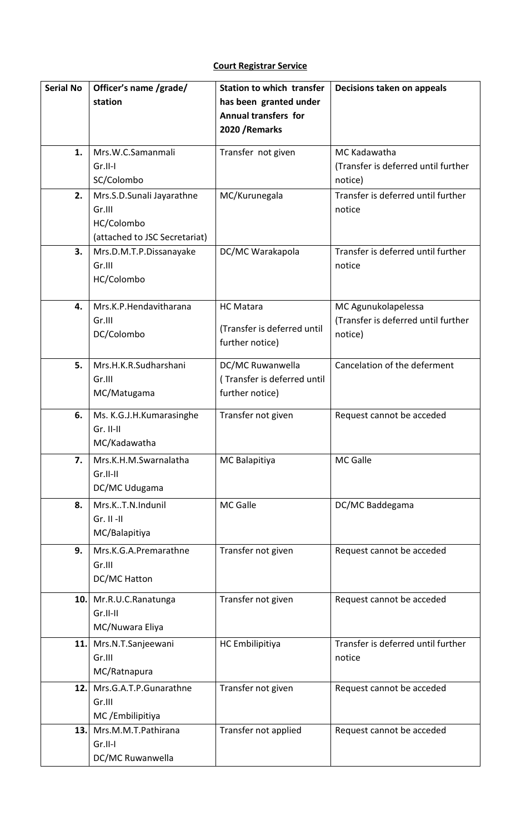#### **Court Registrar Service**

| <b>Serial No</b> | Officer's name /grade/        | <b>Station to which transfer</b> | Decisions taken on appeals          |
|------------------|-------------------------------|----------------------------------|-------------------------------------|
|                  | station                       | has been granted under           |                                     |
|                  |                               | <b>Annual transfers for</b>      |                                     |
|                  |                               | 2020 / Remarks                   |                                     |
| 1.               | Mrs.W.C.Samanmali             | Transfer not given               | MC Kadawatha                        |
|                  | Gr.II-I                       |                                  | (Transfer is deferred until further |
|                  | SC/Colombo                    |                                  | notice)                             |
| 2.               | Mrs.S.D.Sunali Jayarathne     | MC/Kurunegala                    | Transfer is deferred until further  |
|                  | Gr.III                        |                                  | notice                              |
|                  | HC/Colombo                    |                                  |                                     |
|                  | (attached to JSC Secretariat) |                                  |                                     |
| 3.               | Mrs.D.M.T.P.Dissanayake       | DC/MC Warakapola                 | Transfer is deferred until further  |
|                  | Gr.III                        |                                  | notice                              |
|                  | HC/Colombo                    |                                  |                                     |
| 4.               | Mrs.K.P.Hendavitharana        | <b>HC</b> Matara                 | MC Agunukolapelessa                 |
|                  | Gr.III                        |                                  | (Transfer is deferred until further |
|                  | DC/Colombo                    | (Transfer is deferred until      | notice)                             |
|                  |                               | further notice)                  |                                     |
| 5.               | Mrs.H.K.R.Sudharshani         | DC/MC Ruwanwella                 | Cancelation of the deferment        |
|                  | Gr.III                        | (Transfer is deferred until      |                                     |
|                  | MC/Matugama                   | further notice)                  |                                     |
| 6.               | Ms. K.G.J.H.Kumarasinghe      | Transfer not given               | Request cannot be acceded           |
|                  | Gr. II-II                     |                                  |                                     |
|                  | MC/Kadawatha                  |                                  |                                     |
| 7.               | Mrs.K.H.M.Swarnalatha         | MC Balapitiya                    | <b>MC Galle</b>                     |
|                  | Gr.II-II                      |                                  |                                     |
|                  | DC/MC Udugama                 |                                  |                                     |
| 8.               | Mrs.KT.N.Indunil              | <b>MC Galle</b>                  | DC/MC Baddegama                     |
|                  | $Gr.$ $II$ - $II$             |                                  |                                     |
|                  | MC/Balapitiya                 |                                  |                                     |
| 9.               | Mrs.K.G.A.Premarathne         | Transfer not given               | Request cannot be acceded           |
|                  | Gr.III                        |                                  |                                     |
|                  | <b>DC/MC Hatton</b>           |                                  |                                     |
|                  | 10. Mr.R.U.C.Ranatunga        | Transfer not given               | Request cannot be acceded           |
|                  | Gr.II-II                      |                                  |                                     |
|                  | MC/Nuwara Eliya               |                                  |                                     |
| 11.              | Mrs.N.T.Sanjeewani            | <b>HC</b> Embilipitiya           | Transfer is deferred until further  |
|                  | Gr.III                        |                                  | notice                              |
|                  | MC/Ratnapura                  |                                  |                                     |
|                  | 12. Mrs.G.A.T.P.Gunarathne    | Transfer not given               | Request cannot be acceded           |
|                  | Gr.III                        |                                  |                                     |
|                  | MC/Embilipitiya               |                                  |                                     |
| 13.              | Mrs.M.M.T.Pathirana           | Transfer not applied             | Request cannot be acceded           |
|                  | Gr.II-I                       |                                  |                                     |
|                  | DC/MC Ruwanwella              |                                  |                                     |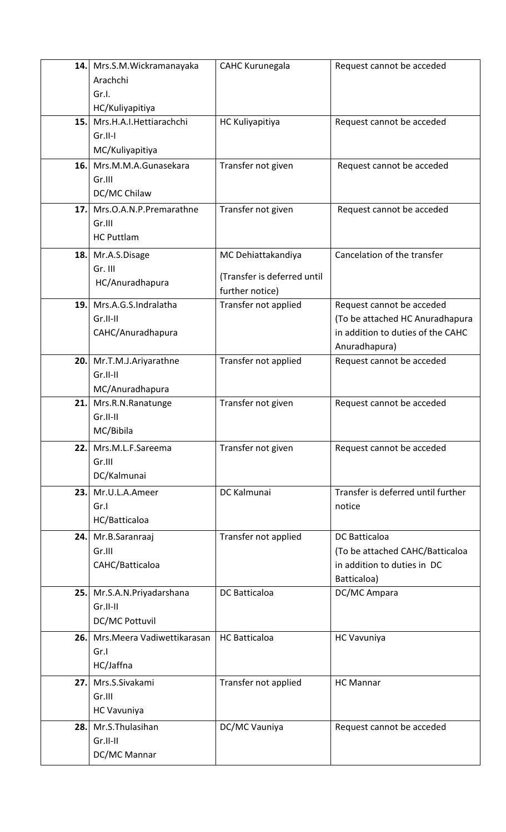|      | 14. Mrs.S.M. Wickramanayaka      | <b>CAHC Kurunegala</b>      | Request cannot be acceded                                            |
|------|----------------------------------|-----------------------------|----------------------------------------------------------------------|
|      | Arachchi                         |                             |                                                                      |
|      | Gr.I.                            |                             |                                                                      |
|      | HC/Kuliyapitiya                  |                             |                                                                      |
|      | 15. Mrs.H.A.I.Hettiarachchi      | <b>HC Kuliyapitiya</b>      | Request cannot be acceded                                            |
|      | Gr.II-I                          |                             |                                                                      |
|      | MC/Kuliyapitiya                  |                             |                                                                      |
|      | 16. Mrs.M.M.A.Gunasekara         | Transfer not given          | Request cannot be acceded                                            |
|      | Gr.III                           |                             |                                                                      |
|      | DC/MC Chilaw                     |                             |                                                                      |
|      | 17. Mrs.O.A.N.P.Premarathne      | Transfer not given          | Request cannot be acceded                                            |
|      | Gr.III                           |                             |                                                                      |
|      | <b>HC Puttlam</b>                |                             |                                                                      |
|      | 18. Mr.A.S.Disage                | MC Dehiattakandiya          | Cancelation of the transfer                                          |
|      | Gr. III                          |                             |                                                                      |
|      | HC/Anuradhapura                  | (Transfer is deferred until |                                                                      |
|      |                                  | further notice)             |                                                                      |
| 19.1 | Mrs.A.G.S.Indralatha<br>Gr.II-II | Transfer not applied        | Request cannot be acceded                                            |
|      | CAHC/Anuradhapura                |                             | (To be attached HC Anuradhapura<br>in addition to duties of the CAHC |
|      |                                  |                             |                                                                      |
|      | 20. Mr.T.M.J.Ariyarathne         | Transfer not applied        | Anuradhapura)                                                        |
|      | Gr.II-II                         |                             | Request cannot be acceded                                            |
|      | MC/Anuradhapura                  |                             |                                                                      |
|      | 21. Mrs.R.N.Ranatunge            | Transfer not given          | Request cannot be acceded                                            |
|      | Gr.II-II                         |                             |                                                                      |
|      | MC/Bibila                        |                             |                                                                      |
|      | 22. Mrs.M.L.F.Sareema            | Transfer not given          | Request cannot be acceded                                            |
|      | Gr.III                           |                             |                                                                      |
|      | DC/Kalmunai                      |                             |                                                                      |
|      |                                  | DC Kalmunai                 | Transfer is deferred until further                                   |
|      | 23. Mr.U.L.A.Ameer               |                             |                                                                      |
|      | Gr.I                             |                             | notice                                                               |
|      | HC/Batticaloa                    |                             |                                                                      |
|      | 24. Mr.B.Saranraaj               | Transfer not applied        | <b>DC Batticaloa</b>                                                 |
|      | Gr.III                           |                             | (To be attached CAHC/Batticaloa                                      |
|      | CAHC/Batticaloa                  |                             | in addition to duties in DC                                          |
|      | 25. Mr.S.A.N.Priyadarshana       | <b>DC Batticaloa</b>        | Batticaloa)<br>DC/MC Ampara                                          |
|      | Gr.II-II                         |                             |                                                                      |
|      | DC/MC Pottuvil                   |                             |                                                                      |
|      | 26. Mrs. Meera Vadiwettikarasan  | <b>HC Batticaloa</b>        |                                                                      |
|      | Gr.I                             |                             | <b>HC Vavuniya</b>                                                   |
|      |                                  |                             |                                                                      |
|      | HC/Jaffna                        |                             |                                                                      |
|      | 27. Mrs.S.Sivakami               | Transfer not applied        | <b>HC</b> Mannar                                                     |
|      | Gr.III                           |                             |                                                                      |
|      | <b>HC Vavuniya</b>               |                             |                                                                      |
|      | 28. Mr.S.Thulasihan              | DC/MC Vauniya               | Request cannot be acceded                                            |
|      | Gr.II-II                         |                             |                                                                      |
|      | DC/MC Mannar                     |                             |                                                                      |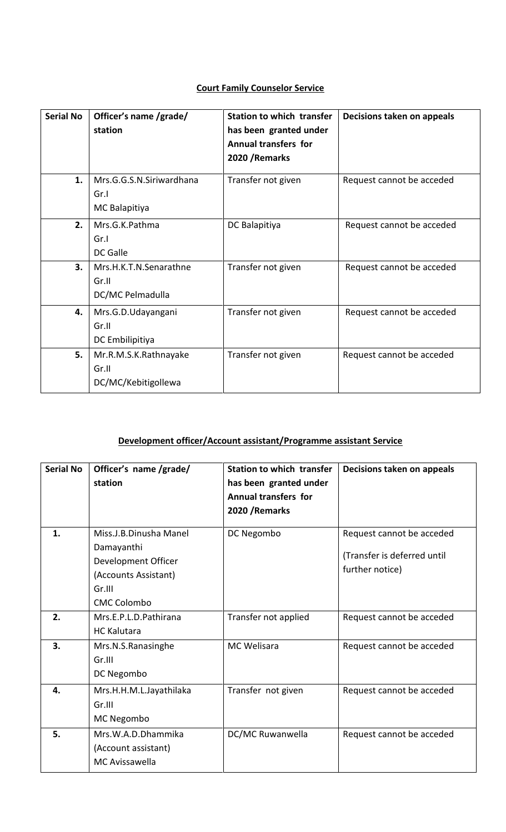### **Court Family Counselor Service**

| <b>Serial No</b> | Officer's name /grade/<br>station                     | <b>Station to which transfer</b><br>has been granted under<br><b>Annual transfers for</b><br>2020 / Remarks | Decisions taken on appeals |
|------------------|-------------------------------------------------------|-------------------------------------------------------------------------------------------------------------|----------------------------|
| 1.               | Mrs.G.G.S.N.Siriwardhana<br>Gr.I<br>MC Balapitiya     | Transfer not given                                                                                          | Request cannot be acceded  |
| 2.               | Mrs.G.K.Pathma<br>Gr.I<br>DC Galle                    | DC Balapitiya                                                                                               | Request cannot be acceded  |
| 3.               | Mrs.H.K.T.N.Senarathne<br>Gr.II<br>DC/MC Pelmadulla   | Transfer not given                                                                                          | Request cannot be acceded  |
| 4.               | Mrs.G.D.Udayangani<br>Gr.II<br>DC Embilipitiya        | Transfer not given                                                                                          | Request cannot be acceded  |
| 5.               | Mr.R.M.S.K.Rathnayake<br>Gr.II<br>DC/MC/Kebitigollewa | Transfer not given                                                                                          | Request cannot be acceded  |

# **Development officer/Account assistant/Programme assistant Service**

| <b>Serial No</b> | Officer's name /grade/<br>station                                                                                   | <b>Station to which transfer</b><br>has been granted under<br><b>Annual transfers for</b><br>2020 / Remarks | Decisions taken on appeals                                                  |
|------------------|---------------------------------------------------------------------------------------------------------------------|-------------------------------------------------------------------------------------------------------------|-----------------------------------------------------------------------------|
| 1.               | Miss.J.B.Dinusha Manel<br>Damayanthi<br>Development Officer<br>(Accounts Assistant)<br>Gr.III<br><b>CMC Colombo</b> | DC Negombo                                                                                                  | Request cannot be acceded<br>(Transfer is deferred until<br>further notice) |
| 2.               | Mrs.E.P.L.D.Pathirana<br><b>HC Kalutara</b>                                                                         | Transfer not applied                                                                                        | Request cannot be acceded                                                   |
| 3.               | Mrs.N.S.Ranasinghe<br>Gr.III<br>DC Negombo                                                                          | MC Welisara                                                                                                 | Request cannot be acceded                                                   |
| 4.               | Mrs.H.H.M.L.Jayathilaka<br>Gr.III<br>MC Negombo                                                                     | Transfer not given                                                                                          | Request cannot be acceded                                                   |
| 5.               | Mrs.W.A.D.Dhammika<br>(Account assistant)<br>MC Avissawella                                                         | DC/MC Ruwanwella                                                                                            | Request cannot be acceded                                                   |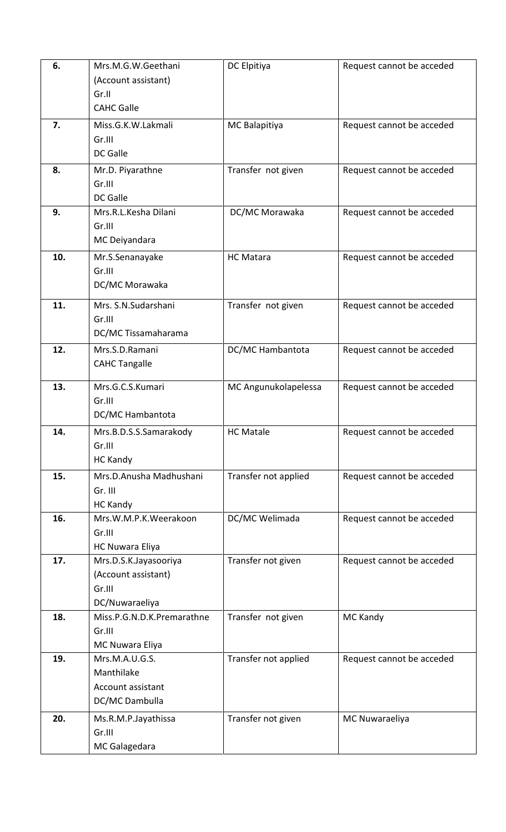| 6.  | Mrs.M.G.W.Geethani<br>(Account assistant)<br>Gr.II<br><b>CAHC Galle</b>  | DC Elpitiya          | Request cannot be acceded |
|-----|--------------------------------------------------------------------------|----------------------|---------------------------|
| 7.  | Miss.G.K.W.Lakmali<br>Gr.III<br><b>DC Galle</b>                          | MC Balapitiya        | Request cannot be acceded |
| 8.  | Mr.D. Piyarathne<br>Gr.III<br><b>DC</b> Galle                            | Transfer not given   | Request cannot be acceded |
| 9.  | Mrs.R.L.Kesha Dilani<br>Gr.III<br>MC Deiyandara                          | DC/MC Morawaka       | Request cannot be acceded |
| 10. | Mr.S.Senanayake<br>Gr.III<br>DC/MC Morawaka                              | <b>HC</b> Matara     | Request cannot be acceded |
| 11. | Mrs. S.N.Sudarshani<br>Gr.III<br>DC/MC Tissamaharama                     | Transfer not given   | Request cannot be acceded |
| 12. | Mrs.S.D.Ramani<br><b>CAHC Tangalle</b>                                   | DC/MC Hambantota     | Request cannot be acceded |
| 13. | Mrs.G.C.S.Kumari<br>Gr.III<br>DC/MC Hambantota                           | MC Angunukolapelessa | Request cannot be acceded |
| 14. | Mrs.B.D.S.S.Samarakody<br>Gr.III<br><b>HC Kandy</b>                      | <b>HC</b> Matale     | Request cannot be acceded |
| 15. | Mrs.D.Anusha Madhushani<br>Gr. III<br><b>HC Kandy</b>                    | Transfer not applied | Request cannot be acceded |
| 16. | Mrs.W.M.P.K.Weerakoon<br>Gr.III<br><b>HC Nuwara Eliya</b>                | DC/MC Welimada       | Request cannot be acceded |
| 17. | Mrs.D.S.K.Jayasooriya<br>(Account assistant)<br>Gr.III<br>DC/Nuwaraeliya | Transfer not given   | Request cannot be acceded |
| 18. | Miss.P.G.N.D.K.Premarathne<br>Gr.III<br>MC Nuwara Eliya                  | Transfer not given   | MC Kandy                  |
| 19. | Mrs.M.A.U.G.S.<br>Manthilake<br>Account assistant<br>DC/MC Dambulla      | Transfer not applied | Request cannot be acceded |
| 20. | Ms.R.M.P.Jayathissa<br>Gr.III<br>MC Galagedara                           | Transfer not given   | MC Nuwaraeliya            |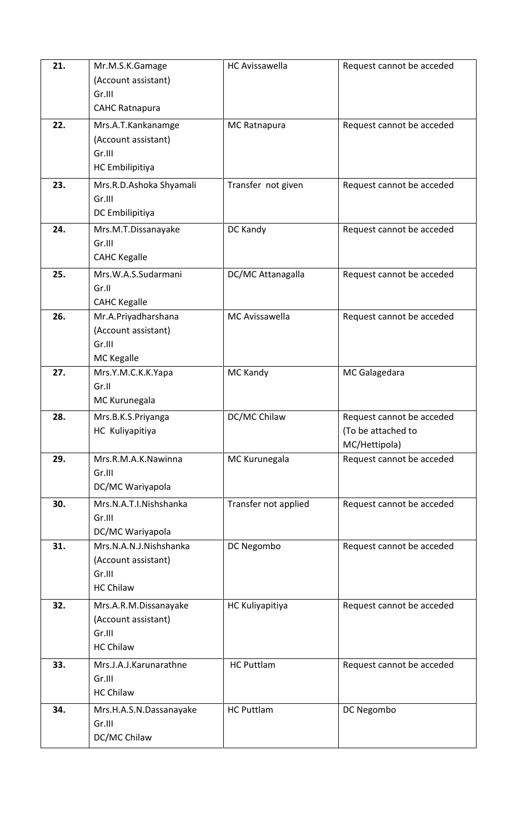| 21. | Mr.M.S.K.Gamage<br>(Account assistant)<br>Gr.III<br><b>CAHC Ratnapura</b>     | <b>HC Avissawella</b>  | Request cannot be acceded                                        |
|-----|-------------------------------------------------------------------------------|------------------------|------------------------------------------------------------------|
| 22. | Mrs.A.T.Kankanamge<br>(Account assistant)<br>Gr.III<br><b>HC Embilipitiya</b> | MC Ratnapura           | Request cannot be acceded                                        |
| 23. | Mrs.R.D.Ashoka Shyamali<br>Gr.III<br>DC Embilipitiya                          | Transfer not given     | Request cannot be acceded                                        |
| 24. | Mrs.M.T.Dissanayake<br>Gr.III<br><b>CAHC Kegalle</b>                          | DC Kandy               | Request cannot be acceded                                        |
| 25. | Mrs.W.A.S.Sudarmani<br>Gr.II<br><b>CAHC Kegalle</b>                           | DC/MC Attanagalla      | Request cannot be acceded                                        |
| 26. | Mr.A.Priyadharshana<br>(Account assistant)<br>Gr.III<br>MC Kegalle            | MC Avissawella         | Request cannot be acceded                                        |
| 27. | Mrs.Y.M.C.K.K.Yapa<br>Gr.II<br>MC Kurunegala                                  | MC Kandy               | MC Galagedara                                                    |
| 28. | Mrs.B.K.S.Priyanga<br>HC Kuliyapitiya                                         | DC/MC Chilaw           | Request cannot be acceded<br>(To be attached to<br>MC/Hettipola) |
| 29. | Mrs.R.M.A.K.Nawinna<br>Gr.III<br>DC/MC Wariyapola                             | MC Kurunegala          | Request cannot be acceded                                        |
| 30. | Mrs.N.A.T.I.Nishshanka<br>Gr.III<br>DC/MC Wariyapola                          | Transfer not applied   | Request cannot be acceded                                        |
| 31. | Mrs.N.A.N.J.Nishshanka<br>(Account assistant)<br>Gr.III<br><b>HC Chilaw</b>   | DC Negombo             | Request cannot be acceded                                        |
| 32. | Mrs.A.R.M.Dissanayake<br>(Account assistant)<br>Gr.III<br><b>HC Chilaw</b>    | <b>HC Kuliyapitiya</b> | Request cannot be acceded                                        |
| 33. | Mrs.J.A.J.Karunarathne<br>Gr.III<br><b>HC Chilaw</b>                          | <b>HC Puttlam</b>      | Request cannot be acceded                                        |
| 34. | Mrs.H.A.S.N.Dassanayake<br>Gr.III<br>DC/MC Chilaw                             | <b>HC Puttlam</b>      | DC Negombo                                                       |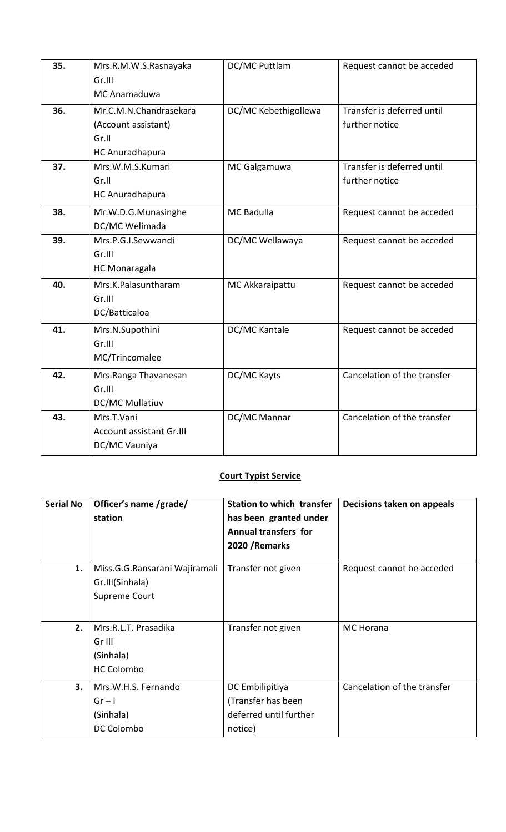| 35. | Mrs.R.M.W.S.Rasnayaka           | <b>DC/MC Puttlam</b> | Request cannot be acceded   |
|-----|---------------------------------|----------------------|-----------------------------|
|     | Gr.III                          |                      |                             |
|     | MC Anamaduwa                    |                      |                             |
| 36. | Mr.C.M.N.Chandrasekara          | DC/MC Kebethigollewa | Transfer is deferred until  |
|     | (Account assistant)             |                      | further notice              |
|     | Gr.II                           |                      |                             |
|     | HC Anuradhapura                 |                      |                             |
| 37. | Mrs.W.M.S.Kumari                | MC Galgamuwa         | Transfer is deferred until  |
|     | Gr.II                           |                      | further notice              |
|     | HC Anuradhapura                 |                      |                             |
| 38. | Mr.W.D.G.Munasinghe             | MC Badulla           | Request cannot be acceded   |
|     | DC/MC Welimada                  |                      |                             |
| 39. | Mrs.P.G.I.Sewwandi              | DC/MC Wellawaya      | Request cannot be acceded   |
|     | Gr.III                          |                      |                             |
|     | <b>HC Monaragala</b>            |                      |                             |
| 40. | Mrs.K.Palasuntharam             | MC Akkaraipattu      | Request cannot be acceded   |
|     | Gr.III                          |                      |                             |
|     | DC/Batticaloa                   |                      |                             |
| 41. | Mrs.N.Supothini                 | DC/MC Kantale        | Request cannot be acceded   |
|     | Gr.III                          |                      |                             |
|     | MC/Trincomalee                  |                      |                             |
| 42. | Mrs.Ranga Thavanesan            | DC/MC Kayts          | Cancelation of the transfer |
|     | Gr.III                          |                      |                             |
|     | DC/MC Mullatiuv                 |                      |                             |
| 43. | Mrs.T.Vani                      | DC/MC Mannar         | Cancelation of the transfer |
|     | <b>Account assistant Gr.III</b> |                      |                             |
|     | DC/MC Vauniya                   |                      |                             |

## **Court Typist Service**

| <b>Serial No</b> | Officer's name /grade/<br>station                                 | <b>Station to which transfer</b><br>has been granted under<br><b>Annual transfers for</b><br>2020 / Remarks | Decisions taken on appeals  |
|------------------|-------------------------------------------------------------------|-------------------------------------------------------------------------------------------------------------|-----------------------------|
| 1.               | Miss.G.G.Ransarani Wajiramali<br>Gr.III(Sinhala)<br>Supreme Court | Transfer not given                                                                                          | Request cannot be acceded   |
| 2.               | Mrs.R.L.T. Prasadika<br>Gr III<br>(Sinhala)<br><b>HC Colombo</b>  | Transfer not given                                                                                          | <b>MC</b> Horana            |
| 3.               | Mrs.W.H.S. Fernando<br>$Gr - 1$<br>(Sinhala)<br>DC Colombo        | DC Embilipitiya<br>(Transfer has been<br>deferred until further<br>notice)                                  | Cancelation of the transfer |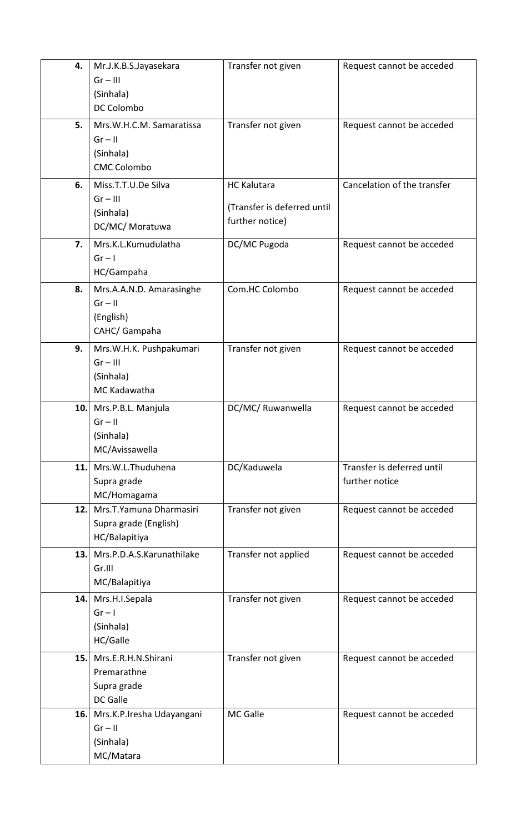| 4.   | Mr.J.K.B.S.Jayasekara     | Transfer not given                             | Request cannot be acceded   |
|------|---------------------------|------------------------------------------------|-----------------------------|
|      | $Gr - III$                |                                                |                             |
|      | (Sinhala)                 |                                                |                             |
|      | DC Colombo                |                                                |                             |
| 5.   | Mrs.W.H.C.M. Samaratissa  | Transfer not given                             | Request cannot be acceded   |
|      | $Gr - II$                 |                                                |                             |
|      | (Sinhala)                 |                                                |                             |
|      | <b>CMC Colombo</b>        |                                                |                             |
| 6.   | Miss.T.T.U.De Silva       | <b>HC Kalutara</b>                             | Cancelation of the transfer |
|      | $Gr - III$                |                                                |                             |
|      | (Sinhala)                 | (Transfer is deferred until<br>further notice) |                             |
|      | DC/MC/ Moratuwa           |                                                |                             |
| 7.   | Mrs.K.L.Kumudulatha       | DC/MC Pugoda                                   | Request cannot be acceded   |
|      | $Gr - I$                  |                                                |                             |
|      | HC/Gampaha                |                                                |                             |
| 8.   | Mrs.A.A.N.D. Amarasinghe  | Com.HC Colombo                                 | Request cannot be acceded   |
|      | $Gr - II$                 |                                                |                             |
|      | (English)                 |                                                |                             |
|      | CAHC/ Gampaha             |                                                |                             |
| 9.   | Mrs.W.H.K. Pushpakumari   | Transfer not given                             | Request cannot be acceded   |
|      | $Gr - III$                |                                                |                             |
|      | (Sinhala)                 |                                                |                             |
|      | MC Kadawatha              |                                                |                             |
| 10.  | Mrs.P.B.L. Manjula        | DC/MC/ Ruwanwella                              | Request cannot be acceded   |
|      | $Gr - II$                 |                                                |                             |
|      | (Sinhala)                 |                                                |                             |
|      | MC/Avissawella            |                                                |                             |
| 11.  | Mrs.W.L.Thuduhena         | DC/Kaduwela                                    | Transfer is deferred until  |
|      | Supra grade               |                                                | further notice              |
|      | MC/Homagama               |                                                |                             |
| 12.1 | Mrs.T.Yamuna Dharmasiri   | Transfer not given                             | Request cannot be acceded   |
|      | Supra grade (English)     |                                                |                             |
|      | HC/Balapitiya             |                                                |                             |
| 13.  | Mrs.P.D.A.S.Karunathilake | Transfer not applied                           | Request cannot be acceded   |
|      | Gr.III                    |                                                |                             |
|      | MC/Balapitiya             |                                                |                             |
| 14.  | Mrs.H.I.Sepala            | Transfer not given                             | Request cannot be acceded   |
|      | $Gr - I$                  |                                                |                             |
|      | (Sinhala)                 |                                                |                             |
|      | HC/Galle                  |                                                |                             |
| 15.  | Mrs.E.R.H.N.Shirani       | Transfer not given                             | Request cannot be acceded   |
|      | Premarathne               |                                                |                             |
|      | Supra grade               |                                                |                             |
|      | <b>DC Galle</b>           |                                                |                             |
| 16.  | Mrs.K.P.Iresha Udayangani | <b>MC Galle</b>                                | Request cannot be acceded   |
|      | $Gr - II$                 |                                                |                             |
|      | (Sinhala)                 |                                                |                             |
|      | MC/Matara                 |                                                |                             |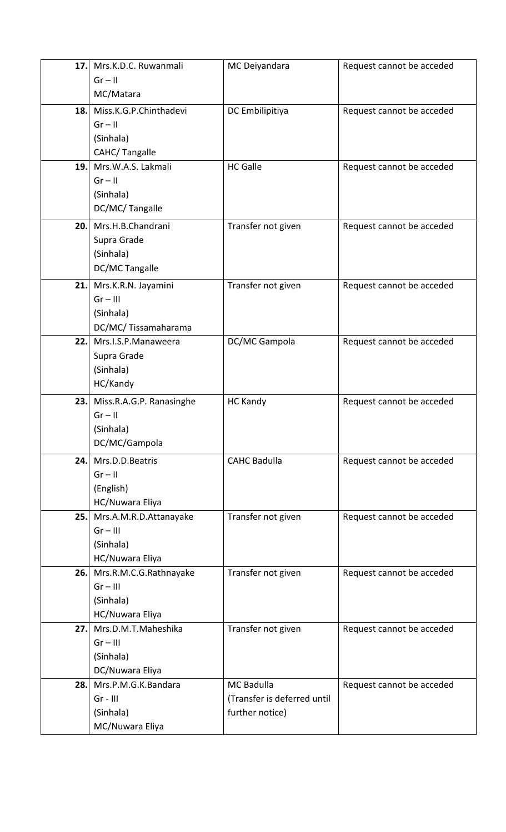| 17.  | Mrs.K.D.C. Ruwanmali       | MC Deiyandara               | Request cannot be acceded |
|------|----------------------------|-----------------------------|---------------------------|
|      | $Gr - II$                  |                             |                           |
|      | MC/Matara                  |                             |                           |
|      | 18. Miss.K.G.P.Chinthadevi | DC Embilipitiya             | Request cannot be acceded |
|      | $Gr - II$                  |                             |                           |
|      | (Sinhala)                  |                             |                           |
|      | CAHC/Tangalle              |                             |                           |
| 19.  | Mrs.W.A.S. Lakmali         | <b>HC Galle</b>             | Request cannot be acceded |
|      | $Gr - II$                  |                             |                           |
|      | (Sinhala)                  |                             |                           |
|      | DC/MC/Tangalle             |                             |                           |
|      |                            |                             |                           |
|      | 20. Mrs.H.B.Chandrani      | Transfer not given          | Request cannot be acceded |
|      | Supra Grade                |                             |                           |
|      | (Sinhala)                  |                             |                           |
|      | DC/MC Tangalle             |                             |                           |
|      | 21. Mrs.K.R.N. Jayamini    | Transfer not given          | Request cannot be acceded |
|      | $Gr - III$                 |                             |                           |
|      | (Sinhala)                  |                             |                           |
|      | DC/MC/Tissamaharama        |                             |                           |
| 22.1 | Mrs.I.S.P.Manaweera        | DC/MC Gampola               | Request cannot be acceded |
|      | Supra Grade                |                             |                           |
|      | (Sinhala)                  |                             |                           |
|      | HC/Kandy                   |                             |                           |
| 23.  | Miss.R.A.G.P. Ranasinghe   | <b>HC Kandy</b>             | Request cannot be acceded |
|      | $Gr - II$                  |                             |                           |
|      | (Sinhala)                  |                             |                           |
|      | DC/MC/Gampola              |                             |                           |
|      | 24. Mrs.D.D.Beatris        | <b>CAHC Badulla</b>         | Request cannot be acceded |
|      | $Gr - II$                  |                             |                           |
|      | (English)                  |                             |                           |
|      | HC/Nuwara Eliya            |                             |                           |
|      | 25. Mrs.A.M.R.D.Attanayake | Transfer not given          | Request cannot be acceded |
|      | $Gr - III$                 |                             |                           |
|      | (Sinhala)                  |                             |                           |
|      | <b>HC/Nuwara Eliya</b>     |                             |                           |
| 26.  | Mrs.R.M.C.G.Rathnayake     | Transfer not given          | Request cannot be acceded |
|      | $Gr - III$                 |                             |                           |
|      | (Sinhala)                  |                             |                           |
|      | <b>HC/Nuwara Eliya</b>     |                             |                           |
| 27.1 | Mrs.D.M.T.Maheshika        | Transfer not given          | Request cannot be acceded |
|      | $Gr - III$                 |                             |                           |
|      | (Sinhala)                  |                             |                           |
|      | DC/Nuwara Eliya            |                             |                           |
|      | 28. Mrs.P.M.G.K.Bandara    | MC Badulla                  | Request cannot be acceded |
|      | $Gr - III$                 | (Transfer is deferred until |                           |
|      | (Sinhala)                  | further notice)             |                           |
|      | MC/Nuwara Eliya            |                             |                           |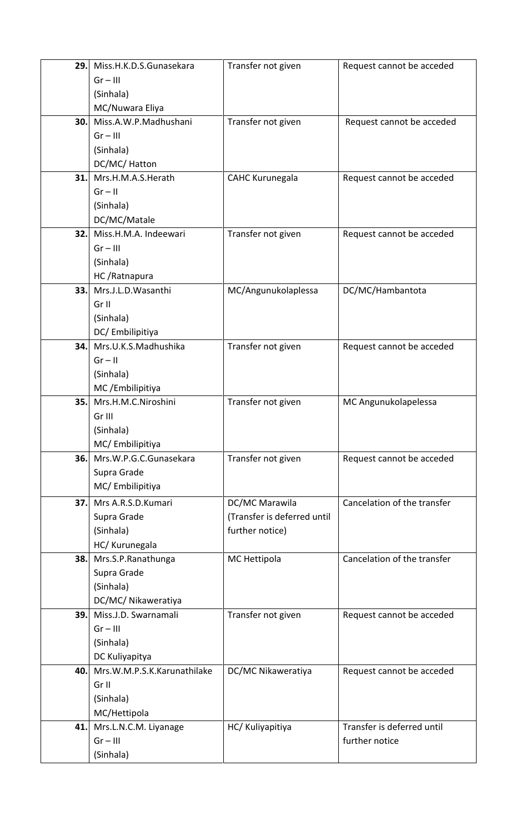| $Gr - III$<br>(Sinhala)<br>MC/Nuwara Eliya<br>Miss.A.W.P.Madhushani<br>Transfer not given<br>30.<br>Request cannot be acceded<br>$Gr - III$<br>(Sinhala)<br>DC/MC/Hatton<br>Mrs.H.M.A.S.Herath<br>31.1<br><b>CAHC Kurunegala</b><br>Request cannot be acceded<br>$Gr - II$<br>(Sinhala)<br>DC/MC/Matale<br>Miss.H.M.A. Indeewari<br>Transfer not given<br>Request cannot be acceded<br>32.1<br>$Gr - III$<br>(Sinhala)<br>HC/Ratnapura<br>Mrs.J.L.D.Wasanthi<br>DC/MC/Hambantota<br>33.<br>MC/Angunukolaplessa<br>Gr II<br>(Sinhala)<br>DC/ Embilipitiya<br>Mrs.U.K.S.Madhushika<br>Transfer not given<br>34.1<br>Request cannot be acceded<br>$Gr - II$<br>(Sinhala)<br>MC/Embilipitiya<br>Mrs.H.M.C.Niroshini<br>Transfer not given<br>35.<br>MC Angunukolapelessa<br>Gr III<br>(Sinhala)<br>MC/ Embilipitiya<br>Mrs.W.P.G.C.Gunasekara<br>36.<br>Transfer not given<br>Request cannot be acceded<br>Supra Grade<br>MC/ Embilipitiya<br>Cancelation of the transfer<br>Mrs A.R.S.D.Kumari<br>DC/MC Marawila<br>37.1<br>(Transfer is deferred until<br>Supra Grade<br>further notice)<br>(Sinhala)<br>HC/ Kurunegala<br>Cancelation of the transfer<br>38.<br>Mrs.S.P.Ranathunga<br>MC Hettipola<br>Supra Grade<br>(Sinhala)<br>DC/MC/ Nikaweratiya<br>Miss.J.D. Swarnamali<br>39.<br>Transfer not given<br>Request cannot be acceded<br>$Gr - III$<br>(Sinhala)<br>DC Kuliyapitya<br>Mrs.W.M.P.S.K.Karunathilake<br>40.<br>DC/MC Nikaweratiya<br>Request cannot be acceded<br>Gr II<br>(Sinhala)<br>MC/Hettipola<br>Transfer is deferred until<br>Mrs.L.N.C.M. Liyanage<br>HC/ Kuliyapitiya<br>41.<br>$Gr - III$<br>further notice<br>(Sinhala) | 29. | Miss.H.K.D.S.Gunasekara | Transfer not given | Request cannot be acceded |
|---------------------------------------------------------------------------------------------------------------------------------------------------------------------------------------------------------------------------------------------------------------------------------------------------------------------------------------------------------------------------------------------------------------------------------------------------------------------------------------------------------------------------------------------------------------------------------------------------------------------------------------------------------------------------------------------------------------------------------------------------------------------------------------------------------------------------------------------------------------------------------------------------------------------------------------------------------------------------------------------------------------------------------------------------------------------------------------------------------------------------------------------------------------------------------------------------------------------------------------------------------------------------------------------------------------------------------------------------------------------------------------------------------------------------------------------------------------------------------------------------------------------------------------------------------------------------------------------------------------------------------------------------|-----|-------------------------|--------------------|---------------------------|
|                                                                                                                                                                                                                                                                                                                                                                                                                                                                                                                                                                                                                                                                                                                                                                                                                                                                                                                                                                                                                                                                                                                                                                                                                                                                                                                                                                                                                                                                                                                                                                                                                                                   |     |                         |                    |                           |
|                                                                                                                                                                                                                                                                                                                                                                                                                                                                                                                                                                                                                                                                                                                                                                                                                                                                                                                                                                                                                                                                                                                                                                                                                                                                                                                                                                                                                                                                                                                                                                                                                                                   |     |                         |                    |                           |
|                                                                                                                                                                                                                                                                                                                                                                                                                                                                                                                                                                                                                                                                                                                                                                                                                                                                                                                                                                                                                                                                                                                                                                                                                                                                                                                                                                                                                                                                                                                                                                                                                                                   |     |                         |                    |                           |
|                                                                                                                                                                                                                                                                                                                                                                                                                                                                                                                                                                                                                                                                                                                                                                                                                                                                                                                                                                                                                                                                                                                                                                                                                                                                                                                                                                                                                                                                                                                                                                                                                                                   |     |                         |                    |                           |
|                                                                                                                                                                                                                                                                                                                                                                                                                                                                                                                                                                                                                                                                                                                                                                                                                                                                                                                                                                                                                                                                                                                                                                                                                                                                                                                                                                                                                                                                                                                                                                                                                                                   |     |                         |                    |                           |
|                                                                                                                                                                                                                                                                                                                                                                                                                                                                                                                                                                                                                                                                                                                                                                                                                                                                                                                                                                                                                                                                                                                                                                                                                                                                                                                                                                                                                                                                                                                                                                                                                                                   |     |                         |                    |                           |
|                                                                                                                                                                                                                                                                                                                                                                                                                                                                                                                                                                                                                                                                                                                                                                                                                                                                                                                                                                                                                                                                                                                                                                                                                                                                                                                                                                                                                                                                                                                                                                                                                                                   |     |                         |                    |                           |
|                                                                                                                                                                                                                                                                                                                                                                                                                                                                                                                                                                                                                                                                                                                                                                                                                                                                                                                                                                                                                                                                                                                                                                                                                                                                                                                                                                                                                                                                                                                                                                                                                                                   |     |                         |                    |                           |
|                                                                                                                                                                                                                                                                                                                                                                                                                                                                                                                                                                                                                                                                                                                                                                                                                                                                                                                                                                                                                                                                                                                                                                                                                                                                                                                                                                                                                                                                                                                                                                                                                                                   |     |                         |                    |                           |
|                                                                                                                                                                                                                                                                                                                                                                                                                                                                                                                                                                                                                                                                                                                                                                                                                                                                                                                                                                                                                                                                                                                                                                                                                                                                                                                                                                                                                                                                                                                                                                                                                                                   |     |                         |                    |                           |
|                                                                                                                                                                                                                                                                                                                                                                                                                                                                                                                                                                                                                                                                                                                                                                                                                                                                                                                                                                                                                                                                                                                                                                                                                                                                                                                                                                                                                                                                                                                                                                                                                                                   |     |                         |                    |                           |
|                                                                                                                                                                                                                                                                                                                                                                                                                                                                                                                                                                                                                                                                                                                                                                                                                                                                                                                                                                                                                                                                                                                                                                                                                                                                                                                                                                                                                                                                                                                                                                                                                                                   |     |                         |                    |                           |
|                                                                                                                                                                                                                                                                                                                                                                                                                                                                                                                                                                                                                                                                                                                                                                                                                                                                                                                                                                                                                                                                                                                                                                                                                                                                                                                                                                                                                                                                                                                                                                                                                                                   |     |                         |                    |                           |
|                                                                                                                                                                                                                                                                                                                                                                                                                                                                                                                                                                                                                                                                                                                                                                                                                                                                                                                                                                                                                                                                                                                                                                                                                                                                                                                                                                                                                                                                                                                                                                                                                                                   |     |                         |                    |                           |
|                                                                                                                                                                                                                                                                                                                                                                                                                                                                                                                                                                                                                                                                                                                                                                                                                                                                                                                                                                                                                                                                                                                                                                                                                                                                                                                                                                                                                                                                                                                                                                                                                                                   |     |                         |                    |                           |
|                                                                                                                                                                                                                                                                                                                                                                                                                                                                                                                                                                                                                                                                                                                                                                                                                                                                                                                                                                                                                                                                                                                                                                                                                                                                                                                                                                                                                                                                                                                                                                                                                                                   |     |                         |                    |                           |
|                                                                                                                                                                                                                                                                                                                                                                                                                                                                                                                                                                                                                                                                                                                                                                                                                                                                                                                                                                                                                                                                                                                                                                                                                                                                                                                                                                                                                                                                                                                                                                                                                                                   |     |                         |                    |                           |
|                                                                                                                                                                                                                                                                                                                                                                                                                                                                                                                                                                                                                                                                                                                                                                                                                                                                                                                                                                                                                                                                                                                                                                                                                                                                                                                                                                                                                                                                                                                                                                                                                                                   |     |                         |                    |                           |
|                                                                                                                                                                                                                                                                                                                                                                                                                                                                                                                                                                                                                                                                                                                                                                                                                                                                                                                                                                                                                                                                                                                                                                                                                                                                                                                                                                                                                                                                                                                                                                                                                                                   |     |                         |                    |                           |
|                                                                                                                                                                                                                                                                                                                                                                                                                                                                                                                                                                                                                                                                                                                                                                                                                                                                                                                                                                                                                                                                                                                                                                                                                                                                                                                                                                                                                                                                                                                                                                                                                                                   |     |                         |                    |                           |
|                                                                                                                                                                                                                                                                                                                                                                                                                                                                                                                                                                                                                                                                                                                                                                                                                                                                                                                                                                                                                                                                                                                                                                                                                                                                                                                                                                                                                                                                                                                                                                                                                                                   |     |                         |                    |                           |
|                                                                                                                                                                                                                                                                                                                                                                                                                                                                                                                                                                                                                                                                                                                                                                                                                                                                                                                                                                                                                                                                                                                                                                                                                                                                                                                                                                                                                                                                                                                                                                                                                                                   |     |                         |                    |                           |
|                                                                                                                                                                                                                                                                                                                                                                                                                                                                                                                                                                                                                                                                                                                                                                                                                                                                                                                                                                                                                                                                                                                                                                                                                                                                                                                                                                                                                                                                                                                                                                                                                                                   |     |                         |                    |                           |
|                                                                                                                                                                                                                                                                                                                                                                                                                                                                                                                                                                                                                                                                                                                                                                                                                                                                                                                                                                                                                                                                                                                                                                                                                                                                                                                                                                                                                                                                                                                                                                                                                                                   |     |                         |                    |                           |
|                                                                                                                                                                                                                                                                                                                                                                                                                                                                                                                                                                                                                                                                                                                                                                                                                                                                                                                                                                                                                                                                                                                                                                                                                                                                                                                                                                                                                                                                                                                                                                                                                                                   |     |                         |                    |                           |
|                                                                                                                                                                                                                                                                                                                                                                                                                                                                                                                                                                                                                                                                                                                                                                                                                                                                                                                                                                                                                                                                                                                                                                                                                                                                                                                                                                                                                                                                                                                                                                                                                                                   |     |                         |                    |                           |
|                                                                                                                                                                                                                                                                                                                                                                                                                                                                                                                                                                                                                                                                                                                                                                                                                                                                                                                                                                                                                                                                                                                                                                                                                                                                                                                                                                                                                                                                                                                                                                                                                                                   |     |                         |                    |                           |
|                                                                                                                                                                                                                                                                                                                                                                                                                                                                                                                                                                                                                                                                                                                                                                                                                                                                                                                                                                                                                                                                                                                                                                                                                                                                                                                                                                                                                                                                                                                                                                                                                                                   |     |                         |                    |                           |
|                                                                                                                                                                                                                                                                                                                                                                                                                                                                                                                                                                                                                                                                                                                                                                                                                                                                                                                                                                                                                                                                                                                                                                                                                                                                                                                                                                                                                                                                                                                                                                                                                                                   |     |                         |                    |                           |
|                                                                                                                                                                                                                                                                                                                                                                                                                                                                                                                                                                                                                                                                                                                                                                                                                                                                                                                                                                                                                                                                                                                                                                                                                                                                                                                                                                                                                                                                                                                                                                                                                                                   |     |                         |                    |                           |
|                                                                                                                                                                                                                                                                                                                                                                                                                                                                                                                                                                                                                                                                                                                                                                                                                                                                                                                                                                                                                                                                                                                                                                                                                                                                                                                                                                                                                                                                                                                                                                                                                                                   |     |                         |                    |                           |
|                                                                                                                                                                                                                                                                                                                                                                                                                                                                                                                                                                                                                                                                                                                                                                                                                                                                                                                                                                                                                                                                                                                                                                                                                                                                                                                                                                                                                                                                                                                                                                                                                                                   |     |                         |                    |                           |
|                                                                                                                                                                                                                                                                                                                                                                                                                                                                                                                                                                                                                                                                                                                                                                                                                                                                                                                                                                                                                                                                                                                                                                                                                                                                                                                                                                                                                                                                                                                                                                                                                                                   |     |                         |                    |                           |
|                                                                                                                                                                                                                                                                                                                                                                                                                                                                                                                                                                                                                                                                                                                                                                                                                                                                                                                                                                                                                                                                                                                                                                                                                                                                                                                                                                                                                                                                                                                                                                                                                                                   |     |                         |                    |                           |
|                                                                                                                                                                                                                                                                                                                                                                                                                                                                                                                                                                                                                                                                                                                                                                                                                                                                                                                                                                                                                                                                                                                                                                                                                                                                                                                                                                                                                                                                                                                                                                                                                                                   |     |                         |                    |                           |
|                                                                                                                                                                                                                                                                                                                                                                                                                                                                                                                                                                                                                                                                                                                                                                                                                                                                                                                                                                                                                                                                                                                                                                                                                                                                                                                                                                                                                                                                                                                                                                                                                                                   |     |                         |                    |                           |
|                                                                                                                                                                                                                                                                                                                                                                                                                                                                                                                                                                                                                                                                                                                                                                                                                                                                                                                                                                                                                                                                                                                                                                                                                                                                                                                                                                                                                                                                                                                                                                                                                                                   |     |                         |                    |                           |
|                                                                                                                                                                                                                                                                                                                                                                                                                                                                                                                                                                                                                                                                                                                                                                                                                                                                                                                                                                                                                                                                                                                                                                                                                                                                                                                                                                                                                                                                                                                                                                                                                                                   |     |                         |                    |                           |
|                                                                                                                                                                                                                                                                                                                                                                                                                                                                                                                                                                                                                                                                                                                                                                                                                                                                                                                                                                                                                                                                                                                                                                                                                                                                                                                                                                                                                                                                                                                                                                                                                                                   |     |                         |                    |                           |
|                                                                                                                                                                                                                                                                                                                                                                                                                                                                                                                                                                                                                                                                                                                                                                                                                                                                                                                                                                                                                                                                                                                                                                                                                                                                                                                                                                                                                                                                                                                                                                                                                                                   |     |                         |                    |                           |
|                                                                                                                                                                                                                                                                                                                                                                                                                                                                                                                                                                                                                                                                                                                                                                                                                                                                                                                                                                                                                                                                                                                                                                                                                                                                                                                                                                                                                                                                                                                                                                                                                                                   |     |                         |                    |                           |
|                                                                                                                                                                                                                                                                                                                                                                                                                                                                                                                                                                                                                                                                                                                                                                                                                                                                                                                                                                                                                                                                                                                                                                                                                                                                                                                                                                                                                                                                                                                                                                                                                                                   |     |                         |                    |                           |
|                                                                                                                                                                                                                                                                                                                                                                                                                                                                                                                                                                                                                                                                                                                                                                                                                                                                                                                                                                                                                                                                                                                                                                                                                                                                                                                                                                                                                                                                                                                                                                                                                                                   |     |                         |                    |                           |
|                                                                                                                                                                                                                                                                                                                                                                                                                                                                                                                                                                                                                                                                                                                                                                                                                                                                                                                                                                                                                                                                                                                                                                                                                                                                                                                                                                                                                                                                                                                                                                                                                                                   |     |                         |                    |                           |
|                                                                                                                                                                                                                                                                                                                                                                                                                                                                                                                                                                                                                                                                                                                                                                                                                                                                                                                                                                                                                                                                                                                                                                                                                                                                                                                                                                                                                                                                                                                                                                                                                                                   |     |                         |                    |                           |
|                                                                                                                                                                                                                                                                                                                                                                                                                                                                                                                                                                                                                                                                                                                                                                                                                                                                                                                                                                                                                                                                                                                                                                                                                                                                                                                                                                                                                                                                                                                                                                                                                                                   |     |                         |                    |                           |
|                                                                                                                                                                                                                                                                                                                                                                                                                                                                                                                                                                                                                                                                                                                                                                                                                                                                                                                                                                                                                                                                                                                                                                                                                                                                                                                                                                                                                                                                                                                                                                                                                                                   |     |                         |                    |                           |
|                                                                                                                                                                                                                                                                                                                                                                                                                                                                                                                                                                                                                                                                                                                                                                                                                                                                                                                                                                                                                                                                                                                                                                                                                                                                                                                                                                                                                                                                                                                                                                                                                                                   |     |                         |                    |                           |
|                                                                                                                                                                                                                                                                                                                                                                                                                                                                                                                                                                                                                                                                                                                                                                                                                                                                                                                                                                                                                                                                                                                                                                                                                                                                                                                                                                                                                                                                                                                                                                                                                                                   |     |                         |                    |                           |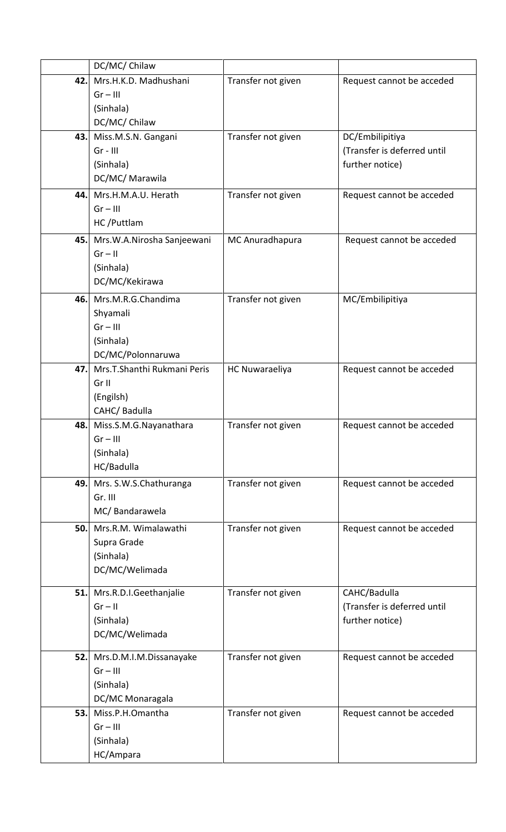|      | DC/MC/ Chilaw                        |                       |                                                |
|------|--------------------------------------|-----------------------|------------------------------------------------|
| 42.  | Mrs.H.K.D. Madhushani                | Transfer not given    | Request cannot be acceded                      |
|      | $Gr - III$                           |                       |                                                |
|      | (Sinhala)                            |                       |                                                |
|      | DC/MC/ Chilaw                        |                       |                                                |
| 43.1 | Miss.M.S.N. Gangani                  | Transfer not given    | DC/Embilipitiya                                |
|      | $Gr - III$                           |                       | (Transfer is deferred until                    |
|      | (Sinhala)                            |                       | further notice)                                |
|      | DC/MC/ Marawila                      |                       |                                                |
| 44.  | Mrs.H.M.A.U. Herath                  | Transfer not given    | Request cannot be acceded                      |
|      | $Gr - III$                           |                       |                                                |
|      | HC/Puttlam                           |                       |                                                |
| 45.  | Mrs.W.A.Nirosha Sanjeewani           | MC Anuradhapura       | Request cannot be acceded                      |
|      | $Gr - II$                            |                       |                                                |
|      | (Sinhala)                            |                       |                                                |
|      | DC/MC/Kekirawa                       |                       |                                                |
| 46.  | Mrs.M.R.G.Chandima                   | Transfer not given    | MC/Embilipitiya                                |
|      | Shyamali                             |                       |                                                |
|      | $Gr - III$                           |                       |                                                |
|      | (Sinhala)                            |                       |                                                |
|      | DC/MC/Polonnaruwa                    |                       |                                                |
| 47.  | Mrs.T.Shanthi Rukmani Peris          | <b>HC Nuwaraeliya</b> | Request cannot be acceded                      |
|      | Gr II                                |                       |                                                |
|      | (Engilsh)                            |                       |                                                |
| 48.  | CAHC/Badulla                         |                       |                                                |
|      | Miss.S.M.G.Nayanathara<br>$Gr - III$ | Transfer not given    | Request cannot be acceded                      |
|      | (Sinhala)                            |                       |                                                |
|      | HC/Badulla                           |                       |                                                |
| 49.  | Mrs. S.W.S.Chathuranga               | Transfer not given    | Request cannot be acceded                      |
|      | Gr. III                              |                       |                                                |
|      | MC/Bandarawela                       |                       |                                                |
| 50.1 | Mrs.R.M. Wimalawathi                 | Transfer not given    | Request cannot be acceded                      |
|      | Supra Grade                          |                       |                                                |
|      | (Sinhala)                            |                       |                                                |
|      | DC/MC/Welimada                       |                       |                                                |
|      |                                      |                       |                                                |
| 51.  | Mrs.R.D.I.Geethanjalie               | Transfer not given    | CAHC/Badulla                                   |
|      | $Gr - II$<br>(Sinhala)               |                       | (Transfer is deferred until<br>further notice) |
|      | DC/MC/Welimada                       |                       |                                                |
|      |                                      |                       |                                                |
|      | 52. Mrs.D.M.I.M.Dissanayake          | Transfer not given    | Request cannot be acceded                      |
|      | $Gr - III$                           |                       |                                                |
|      | (Sinhala)                            |                       |                                                |
|      | DC/MC Monaragala                     |                       |                                                |
| 53.  | Miss.P.H.Omantha                     | Transfer not given    | Request cannot be acceded                      |
|      | $Gr - III$                           |                       |                                                |
|      | (Sinhala)                            |                       |                                                |
|      | HC/Ampara                            |                       |                                                |